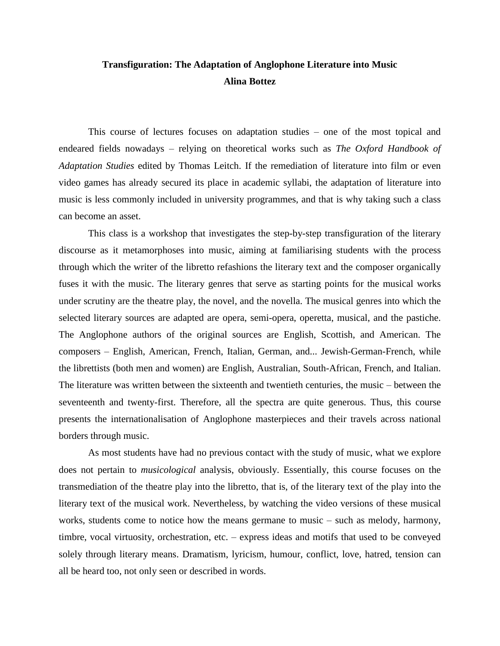## **Transfiguration: The Adaptation of Anglophone Literature into Music Alina Bottez**

This course of lectures focuses on adaptation studies – one of the most topical and endeared fields nowadays – relying on theoretical works such as *The Oxford Handbook of Adaptation Studies* edited by Thomas Leitch. If the remediation of literature into film or even video games has already secured its place in academic syllabi, the adaptation of literature into music is less commonly included in university programmes, and that is why taking such a class can become an asset.

This class is a workshop that investigates the step-by-step transfiguration of the literary discourse as it metamorphoses into music, aiming at familiarising students with the process through which the writer of the libretto refashions the literary text and the composer organically fuses it with the music. The literary genres that serve as starting points for the musical works under scrutiny are the theatre play, the novel, and the novella. The musical genres into which the selected literary sources are adapted are opera, semi-opera, operetta, musical, and the pastiche. The Anglophone authors of the original sources are English, Scottish, and American. The composers – English, American, French, Italian, German, and... Jewish-German-French, while the librettists (both men and women) are English, Australian, South-African, French, and Italian. The literature was written between the sixteenth and twentieth centuries, the music – between the seventeenth and twenty-first. Therefore, all the spectra are quite generous. Thus, this course presents the internationalisation of Anglophone masterpieces and their travels across national borders through music.

As most students have had no previous contact with the study of music, what we explore does not pertain to *musicological* analysis, obviously. Essentially, this course focuses on the transmediation of the theatre play into the libretto, that is, of the literary text of the play into the literary text of the musical work. Nevertheless, by watching the video versions of these musical works, students come to notice how the means germane to music – such as melody, harmony, timbre, vocal virtuosity, orchestration, etc. – express ideas and motifs that used to be conveyed solely through literary means. Dramatism, lyricism, humour, conflict, love, hatred, tension can all be heard too, not only seen or described in words.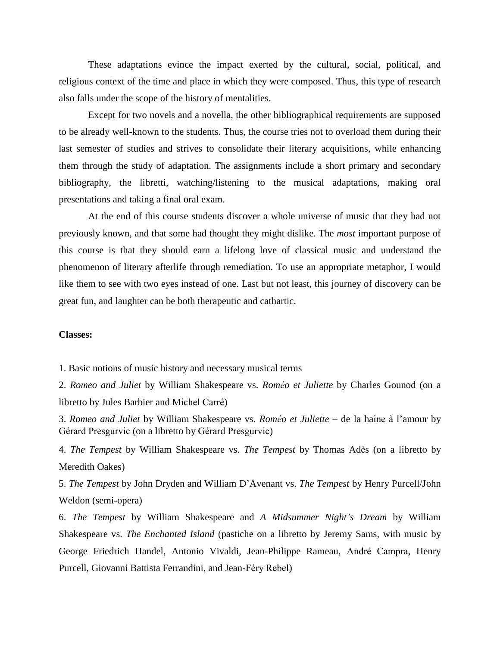These adaptations evince the impact exerted by the cultural, social, political, and religious context of the time and place in which they were composed. Thus, this type of research also falls under the scope of the history of mentalities.

Except for two novels and a novella, the other bibliographical requirements are supposed to be already well-known to the students. Thus, the course tries not to overload them during their last semester of studies and strives to consolidate their literary acquisitions, while enhancing them through the study of adaptation. The assignments include a short primary and secondary bibliography, the libretti, watching/listening to the musical adaptations, making oral presentations and taking a final oral exam.

At the end of this course students discover a whole universe of music that they had not previously known, and that some had thought they might dislike. The *most* important purpose of this course is that they should earn a lifelong love of classical music and understand the phenomenon of literary afterlife through remediation. To use an appropriate metaphor, I would like them to see with two eyes instead of one. Last but not least, this journey of discovery can be great fun, and laughter can be both therapeutic and cathartic.

## **Classes:**

1. Basic notions of music history and necessary musical terms

2. *Romeo and Juliet* by William Shakespeare vs. *Roméo et Juliette* by Charles Gounod (on a libretto by Jules Barbier and Michel Carré)

3. *Romeo and Juliet* by William Shakespeare vs. *Roméo et Juliette –* de la haine à l'amour by Gérard Presgurvic (on a libretto by Gérard Presgurvic)

4. *The Tempest* by William Shakespeare vs. *The Tempest* by Thomas Adès (on a libretto by Meredith Oakes)

5. *The Tempest* by John Dryden and William D'Avenant vs. *The Tempest* by Henry Purcell/John Weldon (semi-opera)

6. *The Tempest* by William Shakespeare and *A Midsummer Night's Dream* by William Shakespeare vs. *The Enchanted Island* (pastiche on a libretto by Jeremy Sams, with music by George Friedrich Handel, Antonio Vivaldi, Jean-Philippe Rameau, André Campra, Henry Purcell, Giovanni Battista Ferrandini, and Jean-Féry Rebel)